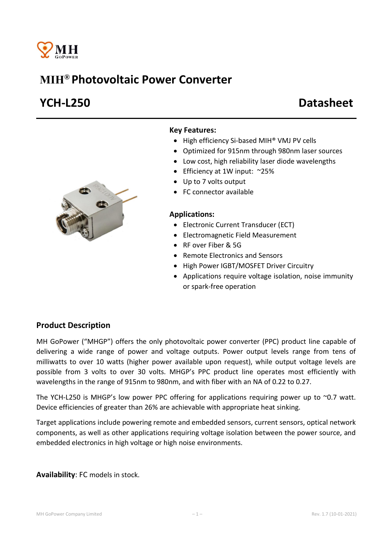

# MIH® Photovoltaic Power Converter

# YCH-L250 Datasheet



### Key Features:

- High efficiency Si-based MIH® VMJ PV cells
- Optimized for 915nm through 980nm laser sources
- Low cost, high reliability laser diode wavelengths
- Efficiency at 1W input: ~25%
- Up to 7 volts output
- FC connector available

#### Applications:

- Electronic Current Transducer (ECT)
- Electromagnetic Field Measurement
- RF over Fiber & 5G
- Remote Electronics and Sensors
- High Power IGBT/MOSFET Driver Circuitry
- Applications require voltage isolation, noise immunity or spark-free operation

## Product Description

MH GoPower ("MHGP") offers the only photovoltaic power converter (PPC) product line capable of delivering a wide range of power and voltage outputs. Power output levels range from tens of milliwatts to over 10 watts (higher power available upon request), while output voltage levels are possible from 3 volts to over 30 volts. MHGP's PPC product line operates most efficiently with wavelengths in the range of 915nm to 980nm, and with fiber with an NA of 0.22 to 0.27.

The YCH-L250 is MHGP's low power PPC offering for applications requiring power up to  $\sim$ 0.7 watt. Device efficiencies of greater than 26% are achievable with appropriate heat sinking.

Target applications include powering remote and embedded sensors, current sensors, optical network components, as well as other applications requiring voltage isolation between the power source, and embedded electronics in high voltage or high noise environments.

Availability: FC models in stock.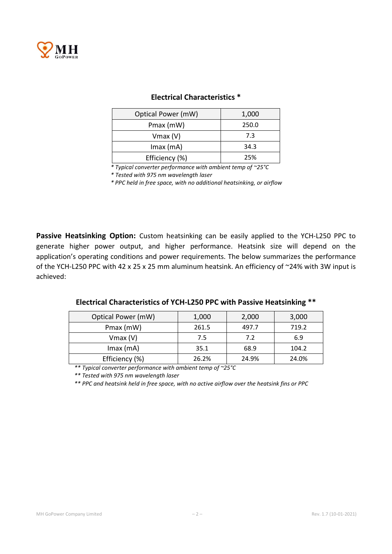

| Optical Power (mW) | 1,000 |  |
|--------------------|-------|--|
| Pmax (mW)          | 250.0 |  |
| $V$ max $(V)$      | 7.3   |  |
| $Imax$ (mA)        | 34.3  |  |
| Efficiency (%)     | 25%   |  |

### Electrical Characteristics \*

*\* Typical converter performance with ambient temp of ~25°C*

*\* Tested with 975 nm wavelength laser*

*\* PPC held in free space, with no additional heatsinking, or airflow*

Passive Heatsinking Option: Custom heatsinking can be easily applied to the YCH-L250 PPC to generate higher power output, and higher performance. Heatsink size will depend on the application's operating conditions and power requirements. The below summarizes the performance of the YCH-L250 PPC with 42 x 25 x 25 mm aluminum heatsink. An efficiency of ~24% with 3W input is achieved:

| Electrical Characteristics of YCH-L250 PPC with Passive Heatsinking ** |  |
|------------------------------------------------------------------------|--|
|------------------------------------------------------------------------|--|

| Optical Power (mW) | 1,000 | 2,000 | 3,000 |
|--------------------|-------|-------|-------|
| Pmax (mW)          | 261.5 | 497.7 | 719.2 |
| $V$ max $(V)$      | 7.5   | 7.2   | 6.9   |
| $Imax$ (mA)        | 35.1  | 68.9  | 104.2 |
| Efficiency (%)     | 26.2% | 24.9% | 24.0% |

*\*\* Typical converter performance with ambient temp of ~25°C*

*\*\* Tested with 975 nm wavelength laser*

*\*\* PPC and heatsink held in free space, with no active airflow over the heatsink fins or PPC*